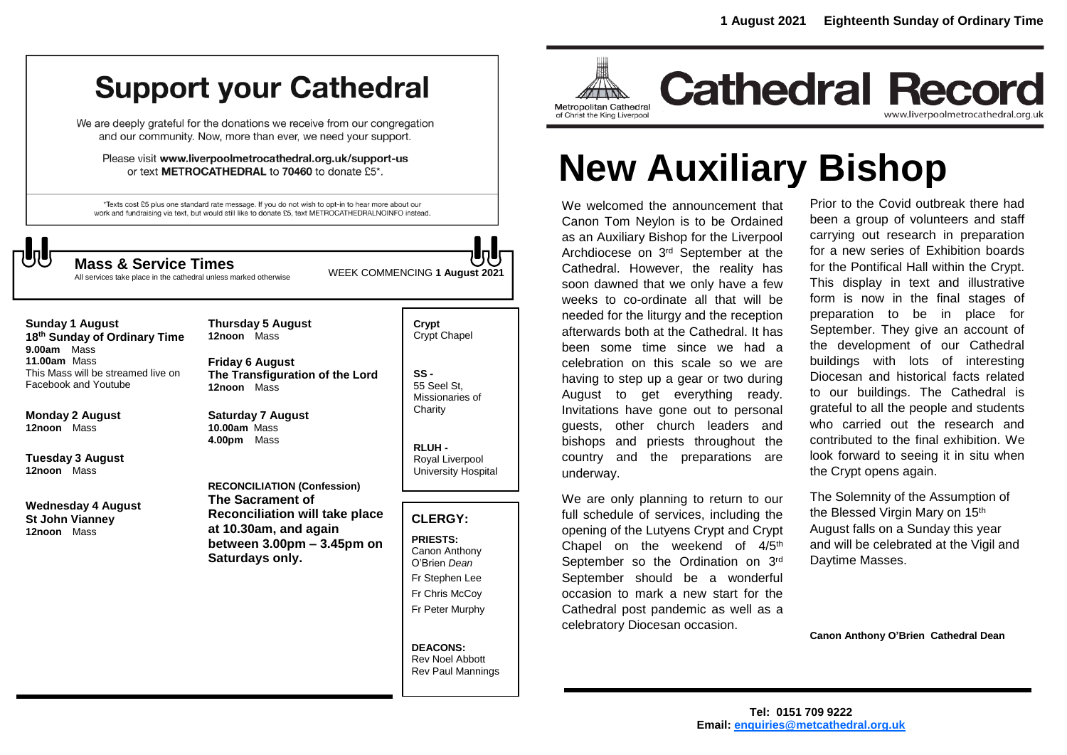# **Support your Cathedral**

We are deeply grateful for the donations we receive from our congregation and our community. Now, more than ever, we need your support.

Please visit www.liverpoolmetrocathedral.org.uk/support-us or text METROCATHEDRAL to 70460 to donate £5\*.

\*Texts cost £5 plus one standard rate message. If you do not wish to opt-in to hear more about our work and fundraising via text, but would still like to donate £5, text METROCATHEDRALNOINFO instead.



All services take place in the cathedral unless marked otherwise

**Thursday 5 August** 

WEEK COMMENCING **1 August 2021 Mass & Service Times**

## **Sunday 1 August**

**18 th Sunday of Ordinary Time 9.00am** Mass **11.00am** Mass This Mass will be streamed live on Facebook and Youtube

**Monday 2 August 12noon** Mass

**Tuesday 3 August 12noon** Mass

**Wednesday 4 August St John Vianney 12noon** Mass

**12noon** Mass **Friday 6 August**

**The Transfiguration of the Lord 12noon** Mass

**Saturday 7 August 10.00am** Mass **4.00pm** Mass

**RECONCILIATION (Confession) The Sacrament of Reconciliation will take place at 10.30am, and again between 3.00pm – 3.45pm on Saturdays only.**

**Crypt**  Crypt Chapel

**SS -** 55 Seel St, Missionaries of **Charity** 

**RLUH -** Royal Liverpool University Hospital

#### **CLERGY:**

**PRIESTS:** Canon Anthony O'Brien *Dean* Fr Stephen Lee Fr Chris McCoy Fr Peter Murphy

**DEACONS:** Rev Noel Abbott Rev Paul Mannings



www.liverpoolmetrocathedral.org.uk

# **New Auxiliary Bishop**

We welcomed the announcement that Canon Tom Neylon is to be Ordained as an Auxiliary Bishop for the Liverpool Archdiocese on 3rd September at the Cathedral. However, the reality has soon dawned that we only have a few weeks to co-ordinate all that will be needed for the liturgy and the reception afterwards both at the Cathedral. It has been some time since we had a celebration on this scale so we are having to step up a gear or two during August to get everything ready. Invitations have gone out to personal guests, other church leaders and bishops and priests throughout the country and the preparations are underway.

We are only planning to return to our full schedule of services, including the opening of the Lutyens Crypt and Crypt Chapel on the weekend of  $4/5<sup>th</sup>$ September so the Ordination on 3rd September should be a wonderful occasion to mark a new start for the Cathedral post pandemic as well as a celebratory Diocesan occasion.

Prior to the Covid outbreak there had been a group of volunteers and staff carrying out research in preparation for a new series of Exhibition boards for the Pontifical Hall within the Crypt. This display in text and illustrative form is now in the final stages of preparation to be in place for September. They give an account of the development of our Cathedral buildings with lots of interesting Diocesan and historical facts related to our buildings. The Cathedral is grateful to all the people and students who carried out the research and contributed to the final exhibition. We look forward to seeing it in situ when the Crypt opens again.

The Solemnity of the Assumption of the Blessed Virgin Mary on 15<sup>th</sup> August falls on a Sunday this year and will be celebrated at the Vigil and Daytime Masses.

**Canon Anthony O'Brien Cathedral Dean**